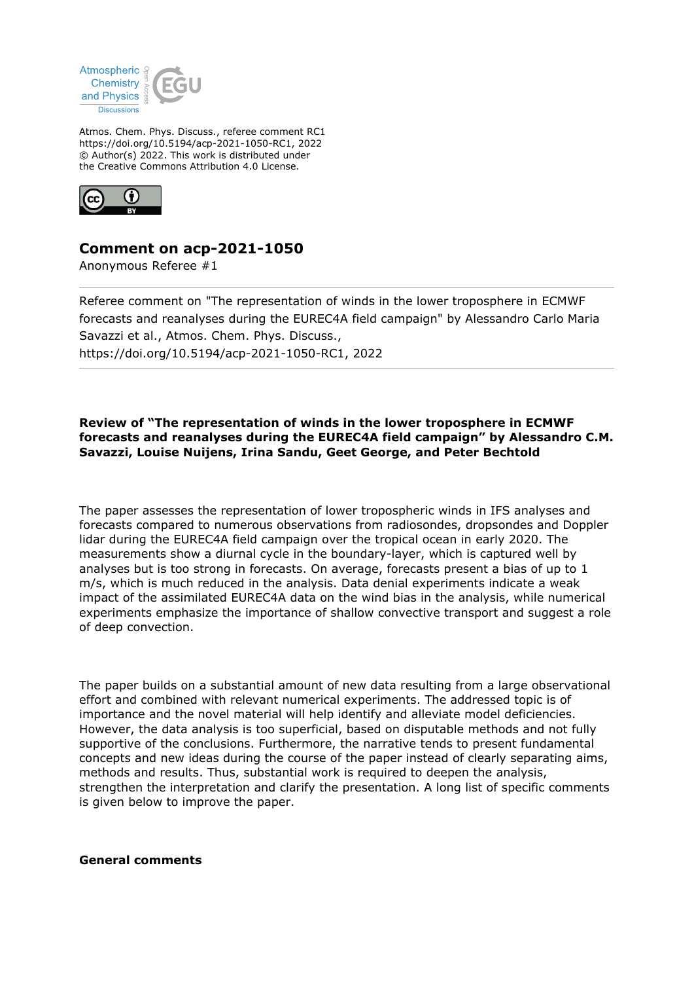

Atmos. Chem. Phys. Discuss., referee comment RC1 https://doi.org/10.5194/acp-2021-1050-RC1, 2022 © Author(s) 2022. This work is distributed under the Creative Commons Attribution 4.0 License.



## **Comment on acp-2021-1050**

Anonymous Referee #1

Referee comment on "The representation of winds in the lower troposphere in ECMWF forecasts and reanalyses during the EUREC4A field campaign" by Alessandro Carlo Maria Savazzi et al., Atmos. Chem. Phys. Discuss., https://doi.org/10.5194/acp-2021-1050-RC1, 2022

## **Review of "The representation of winds in the lower troposphere in ECMWF forecasts and reanalyses during the EUREC4A field campaign" by Alessandro C.M. Savazzi, Louise Nuijens, Irina Sandu, Geet George, and Peter Bechtold**

The paper assesses the representation of lower tropospheric winds in IFS analyses and forecasts compared to numerous observations from radiosondes, dropsondes and Doppler lidar during the EUREC4A field campaign over the tropical ocean in early 2020. The measurements show a diurnal cycle in the boundary-layer, which is captured well by analyses but is too strong in forecasts. On average, forecasts present a bias of up to 1 m/s, which is much reduced in the analysis. Data denial experiments indicate a weak impact of the assimilated EUREC4A data on the wind bias in the analysis, while numerical experiments emphasize the importance of shallow convective transport and suggest a role of deep convection.

The paper builds on a substantial amount of new data resulting from a large observational effort and combined with relevant numerical experiments. The addressed topic is of importance and the novel material will help identify and alleviate model deficiencies. However, the data analysis is too superficial, based on disputable methods and not fully supportive of the conclusions. Furthermore, the narrative tends to present fundamental concepts and new ideas during the course of the paper instead of clearly separating aims, methods and results. Thus, substantial work is required to deepen the analysis, strengthen the interpretation and clarify the presentation. A long list of specific comments is given below to improve the paper.

## **General comments**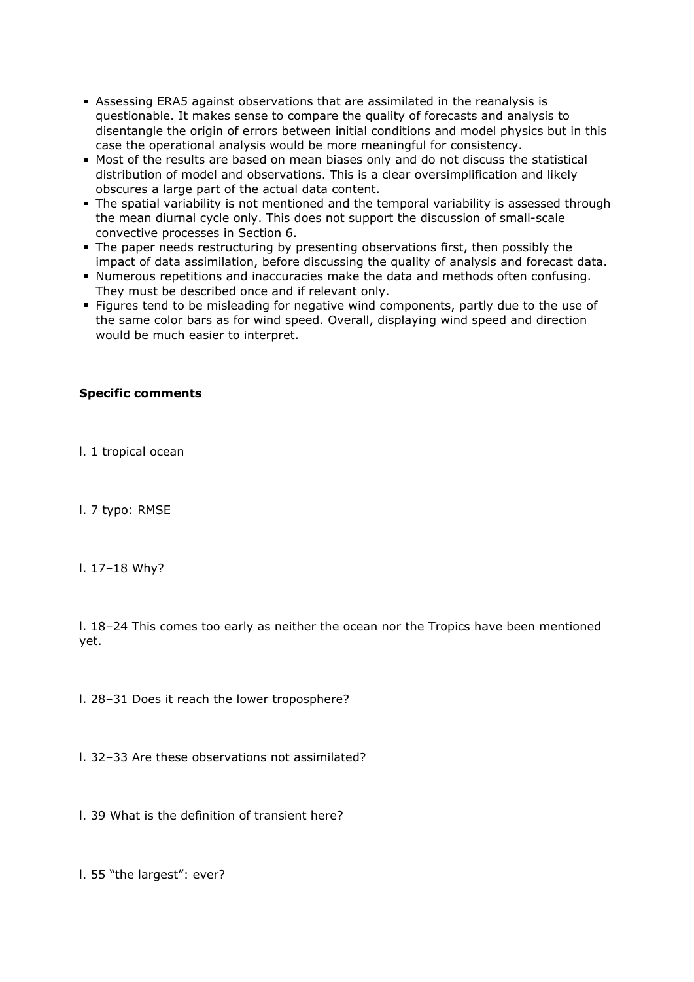- Assessing ERA5 against observations that are assimilated in the reanalysis is questionable. It makes sense to compare the quality of forecasts and analysis to disentangle the origin of errors between initial conditions and model physics but in this case the operational analysis would be more meaningful for consistency.
- Most of the results are based on mean biases only and do not discuss the statistical distribution of model and observations. This is a clear oversimplification and likely obscures a large part of the actual data content.
- The spatial variability is not mentioned and the temporal variability is assessed through the mean diurnal cycle only. This does not support the discussion of small-scale convective processes in Section 6.
- The paper needs restructuring by presenting observations first, then possibly the impact of data assimilation, before discussing the quality of analysis and forecast data.
- Numerous repetitions and inaccuracies make the data and methods often confusing. They must be described once and if relevant only.
- **Figures tend to be misleading for negative wind components, partly due to the use of** the same color bars as for wind speed. Overall, displaying wind speed and direction would be much easier to interpret.

## **Specific comments**

- l. 1 tropical ocean
- l. 7 typo: RMSE
- l. 17–18 Why?

l. 18–24 This comes too early as neither the ocean nor the Tropics have been mentioned yet.

l. 28–31 Does it reach the lower troposphere?

l. 32–33 Are these observations not assimilated?

l. 39 What is the definition of transient here?

l. 55 "the largest": ever?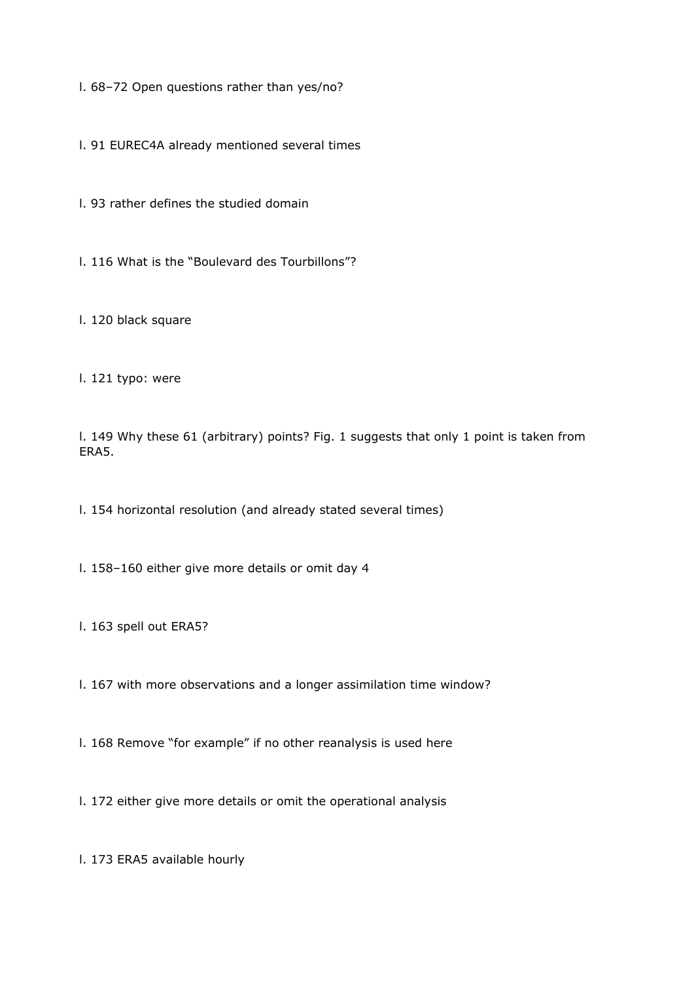l. 68–72 Open questions rather than yes/no?

l. 91 EUREC4A already mentioned several times

l. 93 rather defines the studied domain

l. 116 What is the "Boulevard des Tourbillons"?

l. 120 black square

l. 121 typo: were

l. 149 Why these 61 (arbitrary) points? Fig. 1 suggests that only 1 point is taken from ERA5.

l. 154 horizontal resolution (and already stated several times)

l. 158–160 either give more details or omit day 4

l. 163 spell out ERA5?

l. 167 with more observations and a longer assimilation time window?

l. 168 Remove "for example" if no other reanalysis is used here

l. 172 either give more details or omit the operational analysis

l. 173 ERA5 available hourly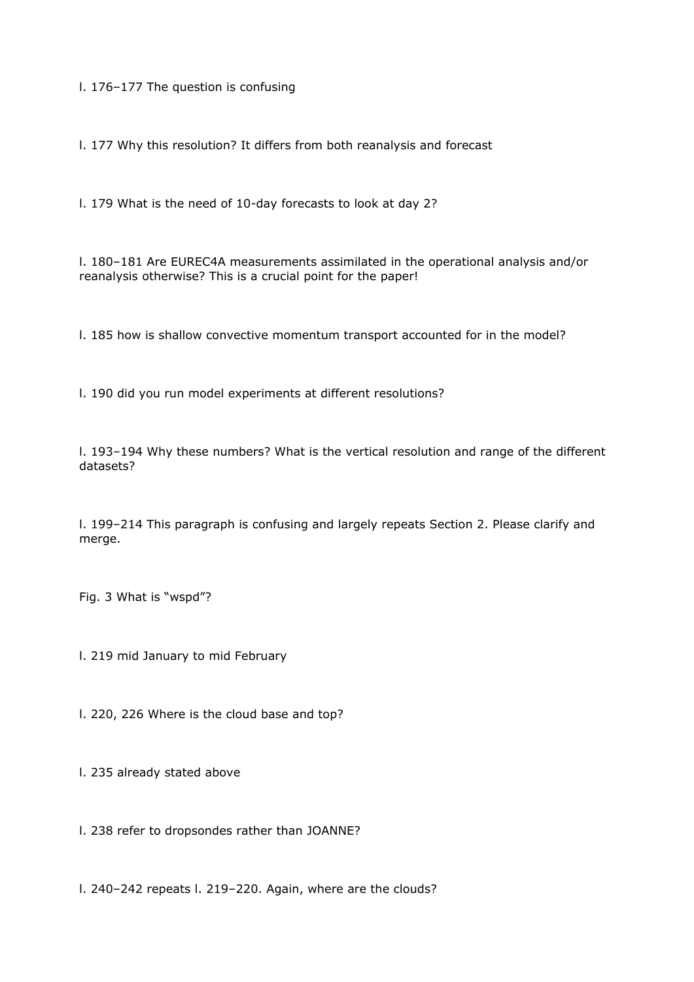l. 176–177 The question is confusing

l. 177 Why this resolution? It differs from both reanalysis and forecast

l. 179 What is the need of 10-day forecasts to look at day 2?

l. 180–181 Are EUREC4A measurements assimilated in the operational analysis and/or reanalysis otherwise? This is a crucial point for the paper!

l. 185 how is shallow convective momentum transport accounted for in the model?

l. 190 did you run model experiments at different resolutions?

l. 193–194 Why these numbers? What is the vertical resolution and range of the different datasets?

l. 199–214 This paragraph is confusing and largely repeats Section 2. Please clarify and merge.

Fig. 3 What is "wspd"?

l. 219 mid January to mid February

l. 220, 226 Where is the cloud base and top?

l. 235 already stated above

l. 238 refer to dropsondes rather than JOANNE?

l. 240–242 repeats l. 219–220. Again, where are the clouds?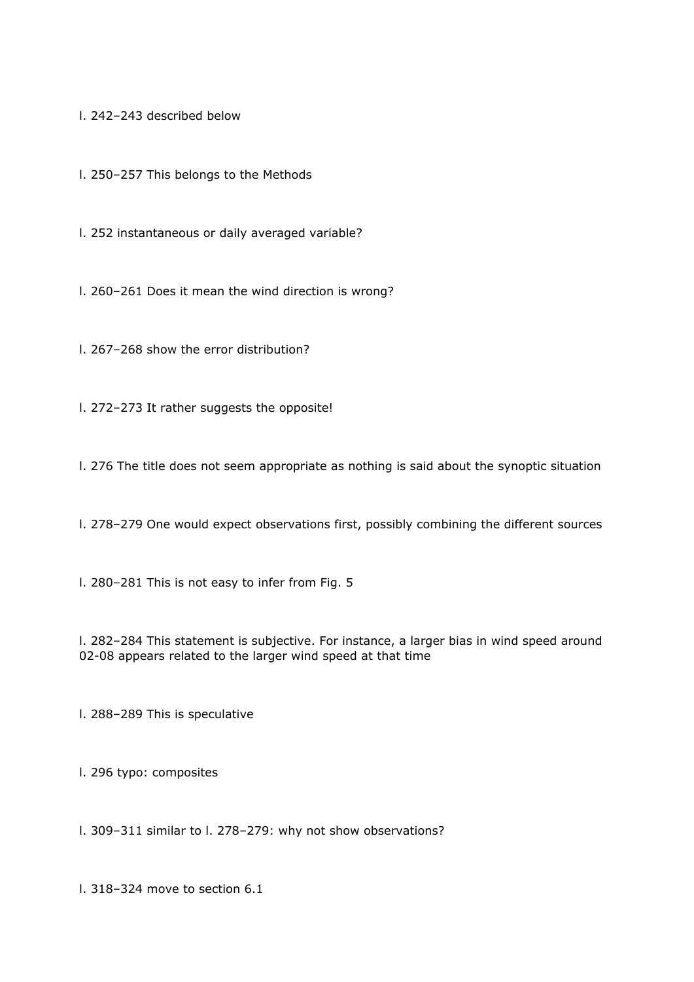l. 242–243 described below

l. 250–257 This belongs to the Methods

l. 252 instantaneous or daily averaged variable?

l. 260–261 Does it mean the wind direction is wrong?

l. 267–268 show the error distribution?

l. 272–273 It rather suggests the opposite!

l. 276 The title does not seem appropriate as nothing is said about the synoptic situation

l. 278–279 One would expect observations first, possibly combining the different sources

l. 280–281 This is not easy to infer from Fig. 5

l. 282–284 This statement is subjective. For instance, a larger bias in wind speed around 02-08 appears related to the larger wind speed at that time

l. 288–289 This is speculative

l. 296 typo: composites

l. 309–311 similar to l. 278–279: why not show observations?

l. 318–324 move to section 6.1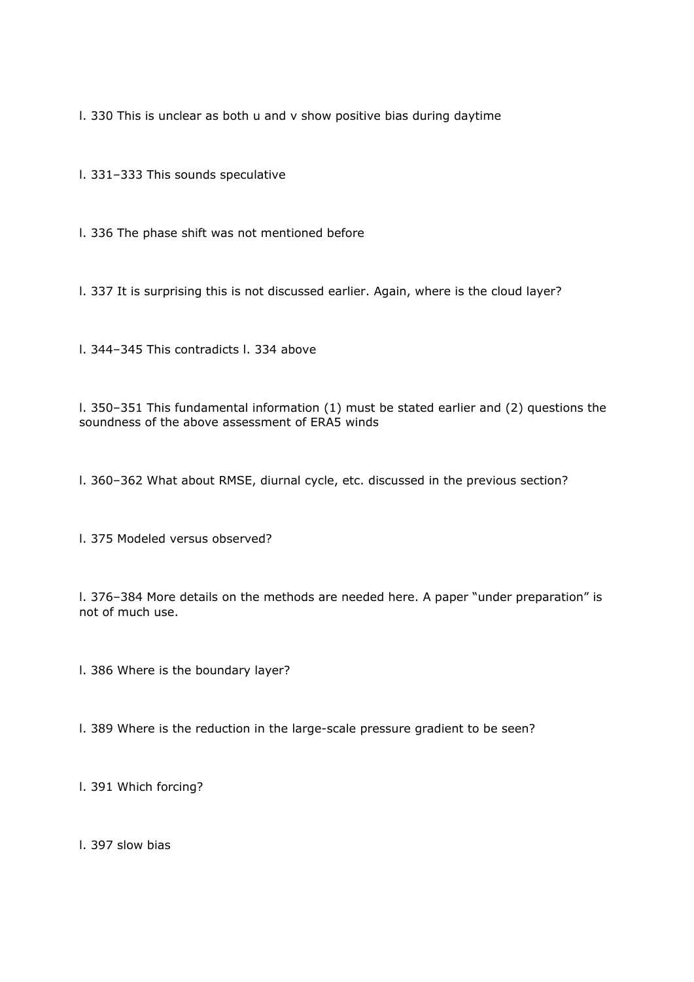l. 330 This is unclear as both u and v show positive bias during daytime

l. 331–333 This sounds speculative

l. 336 The phase shift was not mentioned before

l. 337 It is surprising this is not discussed earlier. Again, where is the cloud layer?

l. 344–345 This contradicts l. 334 above

l. 350–351 This fundamental information (1) must be stated earlier and (2) questions the soundness of the above assessment of ERA5 winds

l. 360–362 What about RMSE, diurnal cycle, etc. discussed in the previous section?

l. 375 Modeled versus observed?

l. 376–384 More details on the methods are needed here. A paper "under preparation" is not of much use.

l. 386 Where is the boundary layer?

l. 389 Where is the reduction in the large-scale pressure gradient to be seen?

l. 391 Which forcing?

l. 397 slow bias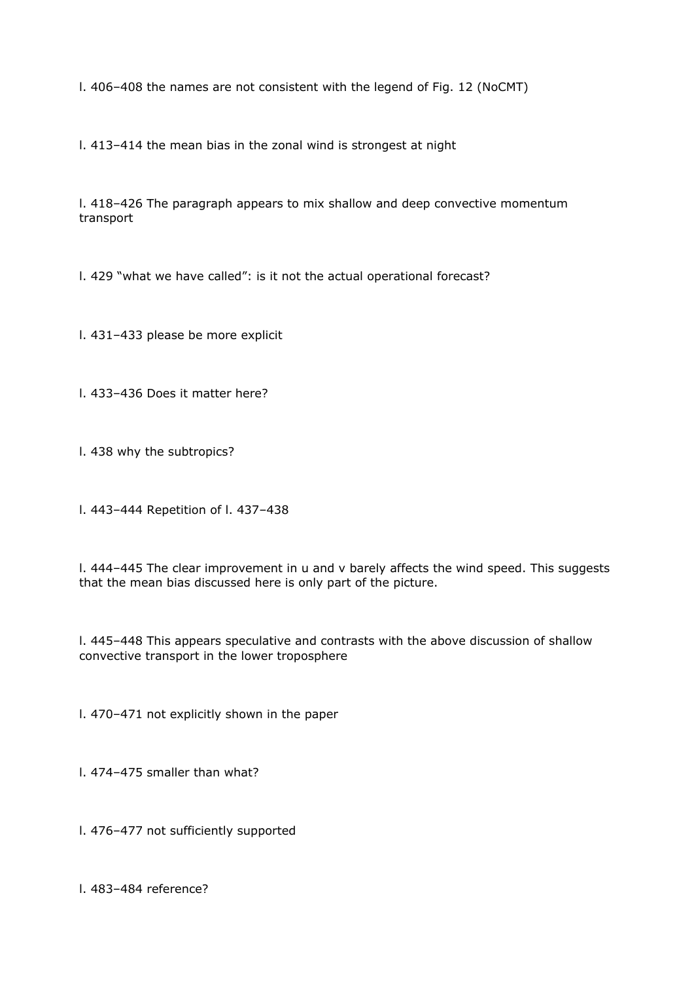l. 406–408 the names are not consistent with the legend of Fig. 12 (NoCMT)

l. 413–414 the mean bias in the zonal wind is strongest at night

l. 418–426 The paragraph appears to mix shallow and deep convective momentum transport

l. 429 "what we have called": is it not the actual operational forecast?

l. 431–433 please be more explicit

l. 433–436 Does it matter here?

l. 438 why the subtropics?

l. 443–444 Repetition of l. 437–438

l. 444–445 The clear improvement in u and v barely affects the wind speed. This suggests that the mean bias discussed here is only part of the picture.

l. 445–448 This appears speculative and contrasts with the above discussion of shallow convective transport in the lower troposphere

l. 470–471 not explicitly shown in the paper

l. 474–475 smaller than what?

l. 476–477 not sufficiently supported

l. 483–484 reference?